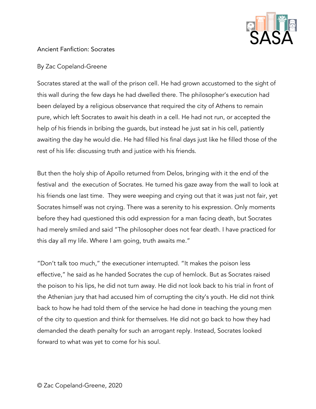

## Ancient Fanfiction: Socrates

## By Zac Copeland-Greene

Socrates stared at the wall of the prison cell. He had grown accustomed to the sight of this wall during the few days he had dwelled there. The philosopher's execution had been delayed by a religious observance that required the city of Athens to remain pure, which left Socrates to await his death in a cell. He had not run, or accepted the help of his friends in bribing the guards, but instead he just sat in his cell, patiently awaiting the day he would die. He had filled his final days just like he filled those of the rest of his life: discussing truth and justice with his friends.

But then the holy ship of Apollo returned from Delos, bringing with it the end of the festival and the execution of Socrates. He turned his gaze away from the wall to look at his friends one last time. They were weeping and crying out that it was just not fair, yet Socrates himself was not crying. There was a serenity to his expression. Only moments before they had questioned this odd expression for a man facing death, but Socrates had merely smiled and said "The philosopher does not fear death. I have practiced for this day all my life. Where I am going, truth awaits me."

"Don't talk too much," the executioner interrupted. "It makes the poison less effective," he said as he handed Socrates the cup of hemlock. But as Socrates raised the poison to his lips, he did not turn away. He did not look back to his trial in front of the Athenian jury that had accused him of corrupting the city's youth. He did not think back to how he had told them of the service he had done in teaching the young men of the city to question and think for themselves. He did not go back to how they had demanded the death penalty for such an arrogant reply. Instead, Socrates looked forward to what was yet to come for his soul.